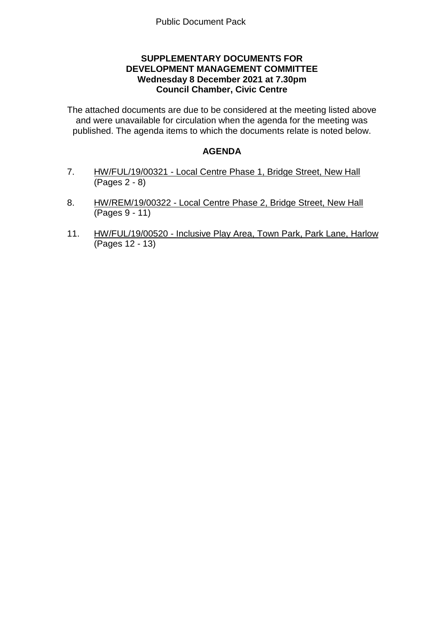# **SUPPLEMENTARY DOCUMENTS FOR DEVELOPMENT MANAGEMENT COMMITTEE Wednesday 8 December 2021 at 7.30pm Council Chamber, Civic Centre**

The attached documents are due to be considered at the meeting listed above and were unavailable for circulation when the agenda for the meeting was published. The agenda items to which the documents relate is noted below.

# **AGENDA**

- 7. HW/FUL/19/00321 Local Centre Phase 1, Bridge Street, New Hall (Pages 2 - 8)
- 8. HW/REM/19/00322 Local Centre Phase 2, Bridge Street, New Hall (Pages 9 - 11)
- 11. HW/FUL/19/00520 Inclusive Play Area, Town Park, Park Lane, Harlow (Pages 12 - 13)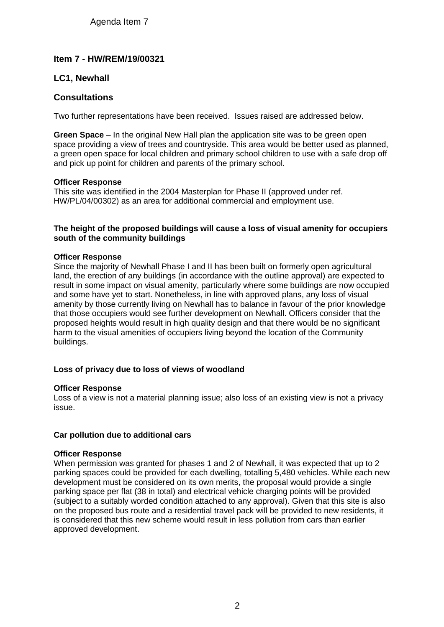# Agenda Item 7

# **Item 7 - HW/REM/19/00321**

# **LC1, Newhall**

## **Consultations**

Two further representations have been received. Issues raised are addressed below.

**Green Space** – In the original New Hall plan the application site was to be green open space providing a view of trees and countryside. This area would be better used as planned, a green open space for local children and primary school children to use with a safe drop off and pick up point for children and parents of the primary school.

### **Officer Response**

This site was identified in the 2004 Masterplan for Phase II (approved under ref. HW/PL/04/00302) as an area for additional commercial and employment use.

### **The height of the proposed buildings will cause a loss of visual amenity for occupiers south of the community buildings**

### **Officer Response**

Since the majority of Newhall Phase I and II has been built on formerly open agricultural land, the erection of any buildings (in accordance with the outline approval) are expected to result in some impact on visual amenity, particularly where some buildings are now occupied and some have yet to start. Nonetheless, in line with approved plans, any loss of visual amenity by those currently living on Newhall has to balance in favour of the prior knowledge that those occupiers would see further development on Newhall. Officers consider that the proposed heights would result in high quality design and that there would be no significant harm to the visual amenities of occupiers living beyond the location of the Community buildings.

## **Loss of privacy due to loss of views of woodland**

#### **Officer Response**

Loss of a view is not a material planning issue; also loss of an existing view is not a privacy issue.

## **Car pollution due to additional cars**

#### **Officer Response**

When permission was granted for phases 1 and 2 of Newhall, it was expected that up to 2 parking spaces could be provided for each dwelling, totalling 5,480 vehicles. While each new development must be considered on its own merits, the proposal would provide a single parking space per flat (38 in total) and electrical vehicle charging points will be provided (subject to a suitably worded condition attached to any approval). Given that this site is also on the proposed bus route and a residential travel pack will be provided to new residents, it is considered that this new scheme would result in less pollution from cars than earlier approved development.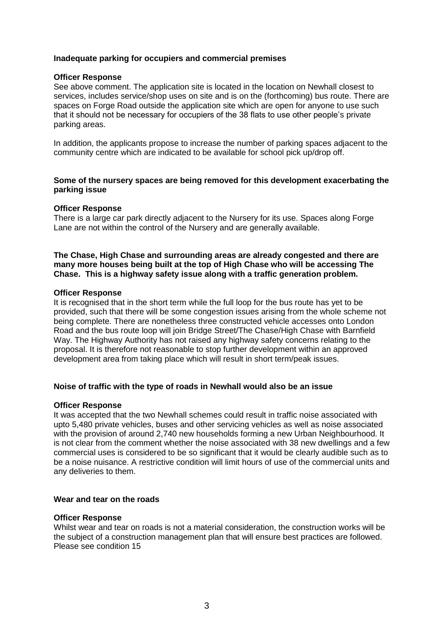### **Inadequate parking for occupiers and commercial premises**

#### **Officer Response**

See above comment. The application site is located in the location on Newhall closest to services, includes service/shop uses on site and is on the (forthcoming) bus route. There are spaces on Forge Road outside the application site which are open for anyone to use such that it should not be necessary for occupiers of the 38 flats to use other people's private parking areas.

In addition, the applicants propose to increase the number of parking spaces adjacent to the community centre which are indicated to be available for school pick up/drop off.

### **Some of the nursery spaces are being removed for this development exacerbating the parking issue**

#### **Officer Response**

There is a large car park directly adjacent to the Nursery for its use. Spaces along Forge Lane are not within the control of the Nursery and are generally available.

#### **The Chase, High Chase and surrounding areas are already congested and there are many more houses being built at the top of High Chase who will be accessing The Chase. This is a highway safety issue along with a traffic generation problem.**

#### **Officer Response**

It is recognised that in the short term while the full loop for the bus route has yet to be provided, such that there will be some congestion issues arising from the whole scheme not being complete. There are nonetheless three constructed vehicle accesses onto London Road and the bus route loop will join Bridge Street/The Chase/High Chase with Barnfield Way. The Highway Authority has not raised any highway safety concerns relating to the proposal. It is therefore not reasonable to stop further development within an approved development area from taking place which will result in short term/peak issues.

#### **Noise of traffic with the type of roads in Newhall would also be an issue**

#### **Officer Response**

It was accepted that the two Newhall schemes could result in traffic noise associated with upto 5,480 private vehicles, buses and other servicing vehicles as well as noise associated with the provision of around 2,740 new households forming a new Urban Neighbourhood. It is not clear from the comment whether the noise associated with 38 new dwellings and a few commercial uses is considered to be so significant that it would be clearly audible such as to be a noise nuisance. A restrictive condition will limit hours of use of the commercial units and any deliveries to them.

#### **Wear and tear on the roads**

#### **Officer Response**

Whilst wear and tear on roads is not a material consideration, the construction works will be the subject of a construction management plan that will ensure best practices are followed. Please see condition 15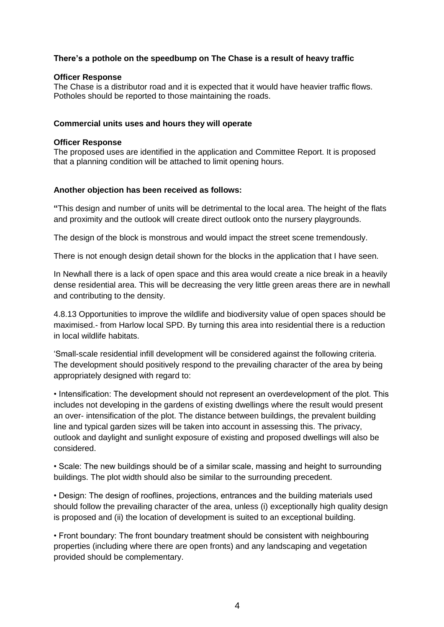# **There's a pothole on the speedbump on The Chase is a result of heavy traffic**

#### **Officer Response**

The Chase is a distributor road and it is expected that it would have heavier traffic flows. Potholes should be reported to those maintaining the roads.

### **Commercial units uses and hours they will operate**

### **Officer Response**

The proposed uses are identified in the application and Committee Report. It is proposed that a planning condition will be attached to limit opening hours.

### **Another objection has been received as follows:**

**"**This design and number of units will be detrimental to the local area. The height of the flats and proximity and the outlook will create direct outlook onto the nursery playgrounds.

The design of the block is monstrous and would impact the street scene tremendously.

There is not enough design detail shown for the blocks in the application that I have seen.

In Newhall there is a lack of open space and this area would create a nice break in a heavily dense residential area. This will be decreasing the very little green areas there are in newhall and contributing to the density.

4.8.13 Opportunities to improve the wildlife and biodiversity value of open spaces should be maximised.- from Harlow local SPD. By turning this area into residential there is a reduction in local wildlife habitats.

'Small-scale residential infill development will be considered against the following criteria. The development should positively respond to the prevailing character of the area by being appropriately designed with regard to:

• Intensification: The development should not represent an overdevelopment of the plot. This includes not developing in the gardens of existing dwellings where the result would present an over- intensification of the plot. The distance between buildings, the prevalent building line and typical garden sizes will be taken into account in assessing this. The privacy, outlook and daylight and sunlight exposure of existing and proposed dwellings will also be considered.

• Scale: The new buildings should be of a similar scale, massing and height to surrounding buildings. The plot width should also be similar to the surrounding precedent.

• Design: The design of rooflines, projections, entrances and the building materials used should follow the prevailing character of the area, unless (i) exceptionally high quality design is proposed and (ii) the location of development is suited to an exceptional building.

• Front boundary: The front boundary treatment should be consistent with neighbouring properties (including where there are open fronts) and any landscaping and vegetation provided should be complementary.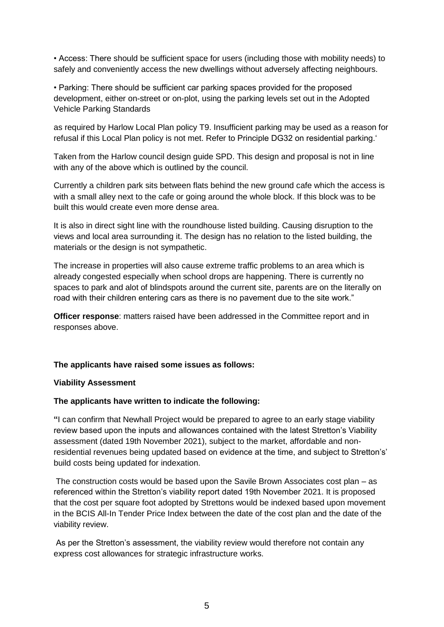• Access: There should be sufficient space for users (including those with mobility needs) to safely and conveniently access the new dwellings without adversely affecting neighbours.

• Parking: There should be sufficient car parking spaces provided for the proposed development, either on-street or on-plot, using the parking levels set out in the Adopted Vehicle Parking Standards

as required by Harlow Local Plan policy T9. Insufficient parking may be used as a reason for refusal if this Local Plan policy is not met. Refer to Principle DG32 on residential parking.'

Taken from the Harlow council design guide SPD. This design and proposal is not in line with any of the above which is outlined by the council.

Currently a children park sits between flats behind the new ground cafe which the access is with a small alley next to the cafe or going around the whole block. If this block was to be built this would create even more dense area.

It is also in direct sight line with the roundhouse listed building. Causing disruption to the views and local area surrounding it. The design has no relation to the listed building, the materials or the design is not sympathetic.

The increase in properties will also cause extreme traffic problems to an area which is already congested especially when school drops are happening. There is currently no spaces to park and alot of blindspots around the current site, parents are on the literally on road with their children entering cars as there is no pavement due to the site work."

**Officer response**: matters raised have been addressed in the Committee report and in responses above.

#### **The applicants have raised some issues as follows:**

#### **Viability Assessment**

#### **The applicants have written to indicate the following:**

**"**I can confirm that Newhall Project would be prepared to agree to an early stage viability review based upon the inputs and allowances contained with the latest Stretton's Viability assessment (dated 19th November 2021), subject to the market, affordable and nonresidential revenues being updated based on evidence at the time, and subject to Stretton's' build costs being updated for indexation.

The construction costs would be based upon the Savile Brown Associates cost plan – as referenced within the Stretton's viability report dated 19th November 2021. It is proposed that the cost per square foot adopted by Strettons would be indexed based upon movement in the BCIS All-In Tender Price Index between the date of the cost plan and the date of the viability review.

As per the Stretton's assessment, the viability review would therefore not contain any express cost allowances for strategic infrastructure works.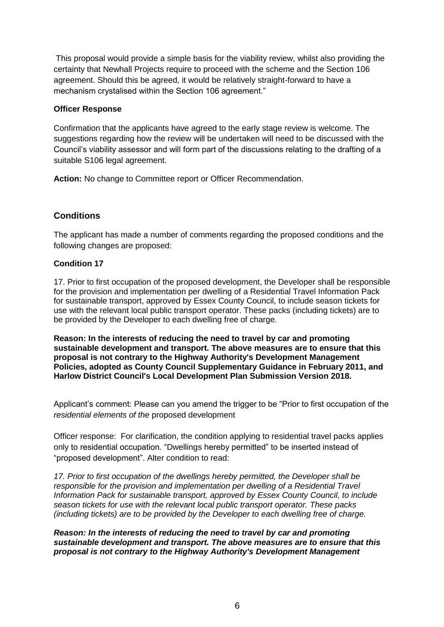This proposal would provide a simple basis for the viability review, whilst also providing the certainty that Newhall Projects require to proceed with the scheme and the Section 106 agreement. Should this be agreed, it would be relatively straight-forward to have a mechanism crystalised within the Section 106 agreement."

## **Officer Response**

Confirmation that the applicants have agreed to the early stage review is welcome. The suggestions regarding how the review will be undertaken will need to be discussed with the Council's viability assessor and will form part of the discussions relating to the drafting of a suitable S106 legal agreement.

**Action:** No change to Committee report or Officer Recommendation.

# **Conditions**

The applicant has made a number of comments regarding the proposed conditions and the following changes are proposed:

# **Condition 17**

17. Prior to first occupation of the proposed development, the Developer shall be responsible for the provision and implementation per dwelling of a Residential Travel Information Pack for sustainable transport, approved by Essex County Council, to include season tickets for use with the relevant local public transport operator. These packs (including tickets) are to be provided by the Developer to each dwelling free of charge.

**Reason: In the interests of reducing the need to travel by car and promoting sustainable development and transport. The above measures are to ensure that this proposal is not contrary to the Highway Authority's Development Management Policies, adopted as County Council Supplementary Guidance in February 2011, and Harlow District Council's Local Development Plan Submission Version 2018.**

Applicant's comment: Please can you amend the trigger to be "Prior to first occupation of the *residential elements of the* proposed development

Officer response: For clarification, the condition applying to residential travel packs applies only to residential occupation. "Dwellings hereby permitted" to be inserted instead of "proposed development". Alter condition to read:

*17. Prior to first occupation of the dwellings hereby permitted, the Developer shall be responsible for the provision and implementation per dwelling of a Residential Travel Information Pack for sustainable transport, approved by Essex County Council, to include season tickets for use with the relevant local public transport operator. These packs (including tickets) are to be provided by the Developer to each dwelling free of charge.*

*Reason: In the interests of reducing the need to travel by car and promoting sustainable development and transport. The above measures are to ensure that this proposal is not contrary to the Highway Authority's Development Management*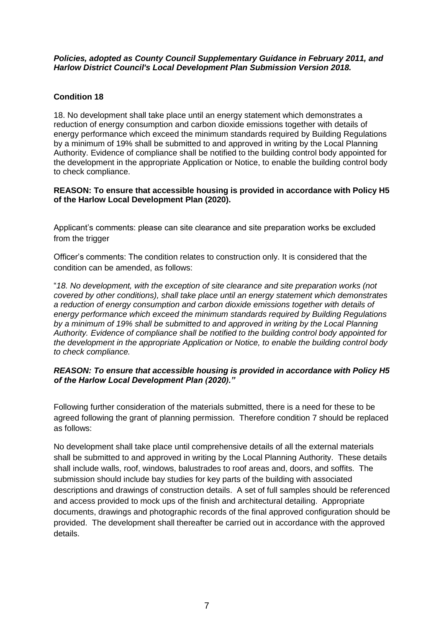### *Policies, adopted as County Council Supplementary Guidance in February 2011, and Harlow District Council's Local Development Plan Submission Version 2018.*

# **Condition 18**

18. No development shall take place until an energy statement which demonstrates a reduction of energy consumption and carbon dioxide emissions together with details of energy performance which exceed the minimum standards required by Building Regulations by a minimum of 19% shall be submitted to and approved in writing by the Local Planning Authority. Evidence of compliance shall be notified to the building control body appointed for the development in the appropriate Application or Notice, to enable the building control body to check compliance.

## **REASON: To ensure that accessible housing is provided in accordance with Policy H5 of the Harlow Local Development Plan (2020).**

Applicant's comments: please can site clearance and site preparation works be excluded from the trigger

Officer's comments: The condition relates to construction only. It is considered that the condition can be amended, as follows:

"*18. No development, with the exception of site clearance and site preparation works (not covered by other conditions), shall take place until an energy statement which demonstrates a reduction of energy consumption and carbon dioxide emissions together with details of energy performance which exceed the minimum standards required by Building Regulations by a minimum of 19% shall be submitted to and approved in writing by the Local Planning Authority. Evidence of compliance shall be notified to the building control body appointed for the development in the appropriate Application or Notice, to enable the building control body to check compliance.*

## *REASON: To ensure that accessible housing is provided in accordance with Policy H5 of the Harlow Local Development Plan (2020)."*

Following further consideration of the materials submitted, there is a need for these to be agreed following the grant of planning permission. Therefore condition 7 should be replaced as follows:

No development shall take place until comprehensive details of all the external materials shall be submitted to and approved in writing by the Local Planning Authority. These details shall include walls, roof, windows, balustrades to roof areas and, doors, and soffits. The submission should include bay studies for key parts of the building with associated descriptions and drawings of construction details. A set of full samples should be referenced and access provided to mock ups of the finish and architectural detailing. Appropriate documents, drawings and photographic records of the final approved configuration should be provided. The development shall thereafter be carried out in accordance with the approved details.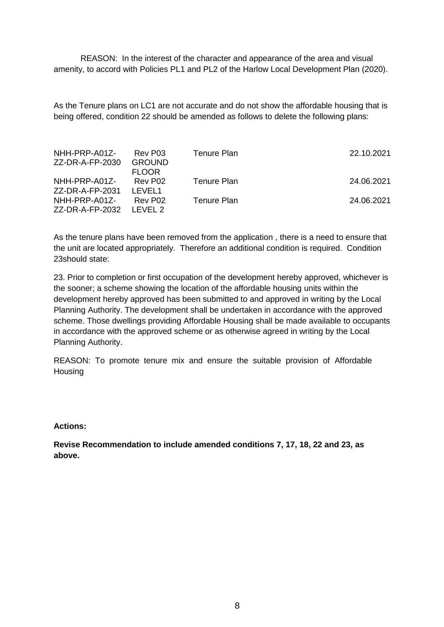REASON: In the interest of the character and appearance of the area and visual amenity, to accord with Policies PL1 and PL2 of the Harlow Local Development Plan (2020).

As the Tenure plans on LC1 are not accurate and do not show the affordable housing that is being offered, condition 22 should be amended as follows to delete the following plans:

| NHH-PRP-A01Z-<br>ZZ-DR-A-FP-2030 | Rev P03<br><b>GROUND</b><br><b>FLOOR</b> | Tenure Plan | 22.10.2021 |
|----------------------------------|------------------------------------------|-------------|------------|
| NHH-PRP-A01Z-<br>ZZ-DR-A-FP-2031 | Rev P02<br>LEVEL1                        | Tenure Plan | 24.06.2021 |
| NHH-PRP-A01Z-<br>ZZ-DR-A-FP-2032 | Rev P02<br>IFVFL <sub>2</sub>            | Tenure Plan | 24.06.2021 |

As the tenure plans have been removed from the application , there is a need to ensure that the unit are located appropriately. Therefore an additional condition is required. Condition 23should state:

23. Prior to completion or first occupation of the development hereby approved, whichever is the sooner; a scheme showing the location of the affordable housing units within the development hereby approved has been submitted to and approved in writing by the Local Planning Authority. The development shall be undertaken in accordance with the approved scheme. Those dwellings providing Affordable Housing shall be made available to occupants in accordance with the approved scheme or as otherwise agreed in writing by the Local Planning Authority.

REASON: To promote tenure mix and ensure the suitable provision of Affordable **Housing** 

#### **Actions:**

**Revise Recommendation to include amended conditions 7, 17, 18, 22 and 23, as above.**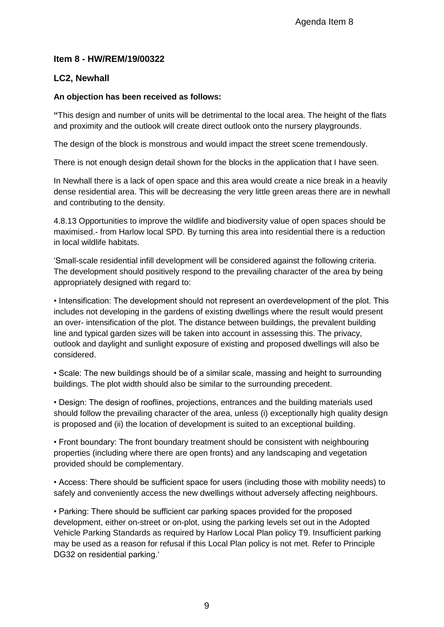# **Item 8 - HW/REM/19/00322**

# **LC2, Newhall**

# **An objection has been received as follows:**

**"**This design and number of units will be detrimental to the local area. The height of the flats and proximity and the outlook will create direct outlook onto the nursery playgrounds.

The design of the block is monstrous and would impact the street scene tremendously.

There is not enough design detail shown for the blocks in the application that I have seen.

In Newhall there is a lack of open space and this area would create a nice break in a heavily dense residential area. This will be decreasing the very little green areas there are in newhall and contributing to the density.

4.8.13 Opportunities to improve the wildlife and biodiversity value of open spaces should be maximised.- from Harlow local SPD. By turning this area into residential there is a reduction in local wildlife habitats.

'Small-scale residential infill development will be considered against the following criteria. The development should positively respond to the prevailing character of the area by being appropriately designed with regard to:

• Intensification: The development should not represent an overdevelopment of the plot. This includes not developing in the gardens of existing dwellings where the result would present an over- intensification of the plot. The distance between buildings, the prevalent building line and typical garden sizes will be taken into account in assessing this. The privacy, outlook and daylight and sunlight exposure of existing and proposed dwellings will also be considered.

• Scale: The new buildings should be of a similar scale, massing and height to surrounding buildings. The plot width should also be similar to the surrounding precedent.

• Design: The design of rooflines, projections, entrances and the building materials used should follow the prevailing character of the area, unless (i) exceptionally high quality design is proposed and (ii) the location of development is suited to an exceptional building.

• Front boundary: The front boundary treatment should be consistent with neighbouring properties (including where there are open fronts) and any landscaping and vegetation provided should be complementary.

• Access: There should be sufficient space for users (including those with mobility needs) to safely and conveniently access the new dwellings without adversely affecting neighbours.

• Parking: There should be sufficient car parking spaces provided for the proposed development, either on-street or on-plot, using the parking levels set out in the Adopted Vehicle Parking Standards as required by Harlow Local Plan policy T9. Insufficient parking may be used as a reason for refusal if this Local Plan policy is not met. Refer to Principle DG32 on residential parking.'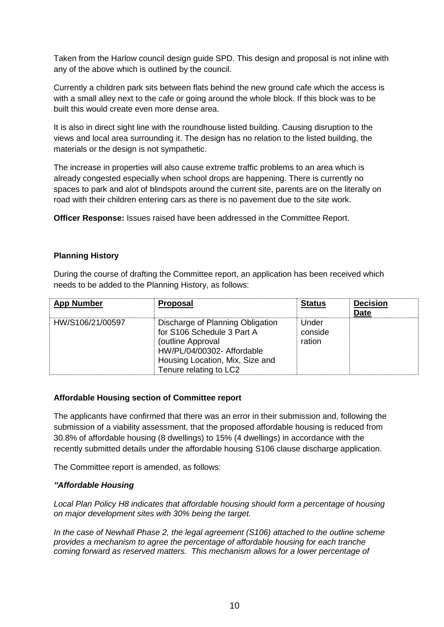Taken from the Harlow council design guide SPD. This design and proposal is not inline with any of the above which is outlined by the council.

Currently a children park sits between flats behind the new ground cafe which the access is with a small alley next to the cafe or going around the whole block. If this block was to be built this would create even more dense area.

It is also in direct sight line with the roundhouse listed building. Causing disruption to the views and local area surrounding it. The design has no relation to the listed building, the materials or the design is not sympathetic.

The increase in properties will also cause extreme traffic problems to an area which is already congested especially when school drops are happening. There is currently no spaces to park and alot of blindspots around the current site, parents are on the literally on road with their children entering cars as there is no pavement due to the site work.

**Officer Response:** Issues raised have been addressed in the Committee Report.

## **Planning History**

During the course of drafting the Committee report, an application has been received which needs to be added to the Planning History, as follows:

| <b>App Number</b> | <b>Proposal</b>                                                                                                                                                                | <b>Status</b>              | <b>Decision</b><br><b>Date</b> |
|-------------------|--------------------------------------------------------------------------------------------------------------------------------------------------------------------------------|----------------------------|--------------------------------|
| HW/S106/21/00597  | Discharge of Planning Obligation<br>for S106 Schedule 3 Part A<br>(outline Approval<br>HW/PL/04/00302- Affordable<br>Housing Location, Mix, Size and<br>Tenure relating to LC2 | Under<br>conside<br>ration |                                |

## **Affordable Housing section of Committee report**

The applicants have confirmed that there was an error in their submission and, following the submission of a viability assessment, that the proposed affordable housing is reduced from 30.8% of affordable housing (8 dwellings) to 15% (4 dwellings) in accordance with the recently submitted details under the affordable housing S106 clause discharge application.

The Committee report is amended, as follows:

## *"Affordable Housing*

*Local Plan Policy H8 indicates that affordable housing should form a percentage of housing on major development sites with 30% being the target.* 

*In the case of Newhall Phase 2, the legal agreement (S106) attached to the outline scheme provides a mechanism to agree the percentage of affordable housing for each tranche coming forward as reserved matters. This mechanism allows for a lower percentage of*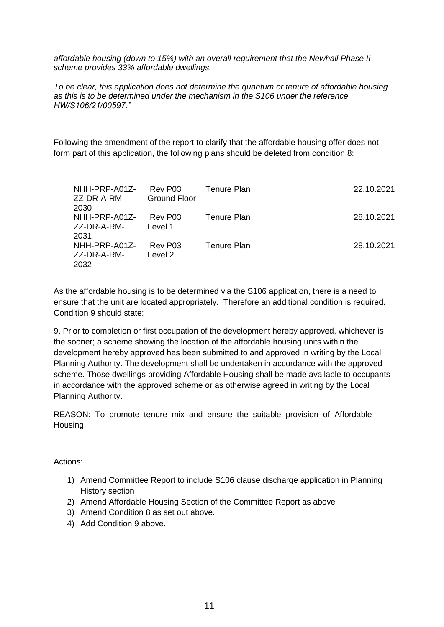*affordable housing (down to 15%) with an overall requirement that the Newhall Phase II scheme provides 33% affordable dwellings.* 

*To be clear, this application does not determine the quantum or tenure of affordable housing as this is to be determined under the mechanism in the S106 under the reference HW/S106/21/00597."* 

Following the amendment of the report to clarify that the affordable housing offer does not form part of this application, the following plans should be deleted from condition 8:

| NHH-PRP-A01Z-<br>ZZ-DR-A-RM-<br>2030 | Rev P03<br><b>Ground Floor</b> | Tenure Plan        | 22.10.2021 |
|--------------------------------------|--------------------------------|--------------------|------------|
| NHH-PRP-A01Z-<br>ZZ-DR-A-RM-<br>2031 | Rev P03<br>Level 1             | Tenure Plan        | 28.10.2021 |
| NHH-PRP-A01Z-<br>ZZ-DR-A-RM-<br>2032 | Rev P03<br>Level 2             | <b>Tenure Plan</b> | 28.10.2021 |

As the affordable housing is to be determined via the S106 application, there is a need to ensure that the unit are located appropriately. Therefore an additional condition is required. Condition 9 should state:

9. Prior to completion or first occupation of the development hereby approved, whichever is the sooner; a scheme showing the location of the affordable housing units within the development hereby approved has been submitted to and approved in writing by the Local Planning Authority. The development shall be undertaken in accordance with the approved scheme. Those dwellings providing Affordable Housing shall be made available to occupants in accordance with the approved scheme or as otherwise agreed in writing by the Local Planning Authority.

REASON: To promote tenure mix and ensure the suitable provision of Affordable **Housing** 

Actions:

- 1) Amend Committee Report to include S106 clause discharge application in Planning History section
- 2) Amend Affordable Housing Section of the Committee Report as above
- 3) Amend Condition 8 as set out above.
- 4) Add Condition 9 above.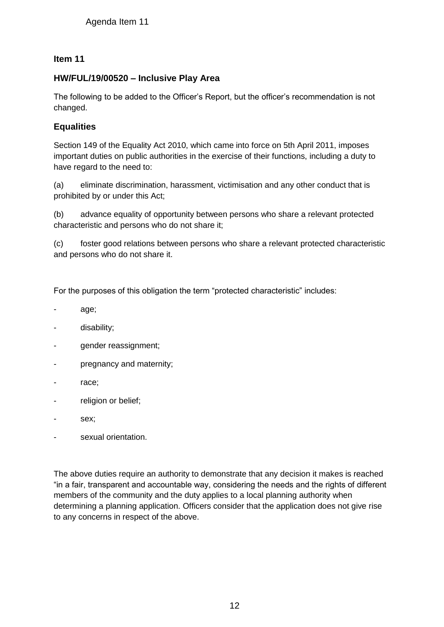# **Item 11**

# **HW/FUL/19/00520 – Inclusive Play Area**

The following to be added to the Officer's Report, but the officer's recommendation is not changed.

# **Equalities**

Section 149 of the Equality Act 2010, which came into force on 5th April 2011, imposes important duties on public authorities in the exercise of their functions, including a duty to have regard to the need to:

(a) eliminate discrimination, harassment, victimisation and any other conduct that is prohibited by or under this Act;

(b) advance equality of opportunity between persons who share a relevant protected characteristic and persons who do not share it;

(c) foster good relations between persons who share a relevant protected characteristic and persons who do not share it.

For the purposes of this obligation the term "protected characteristic" includes:

- age;
- disability;
- gender reassignment;
- pregnancy and maternity;
- race;
- religion or belief;
- sex;
- sexual orientation.

The above duties require an authority to demonstrate that any decision it makes is reached "in a fair, transparent and accountable way, considering the needs and the rights of different members of the community and the duty applies to a local planning authority when determining a planning application. Officers consider that the application does not give rise to any concerns in respect of the above. Agenda Item 11<br>
19/00520 – Inclusive Play Area<br>
wing to be added to the Officer's Report, b<br>
es<br>
149 of the Equality Act 2010, which came in<br>
t duties on public authorities in the exercise<br>
and to the need to:<br>
this immina